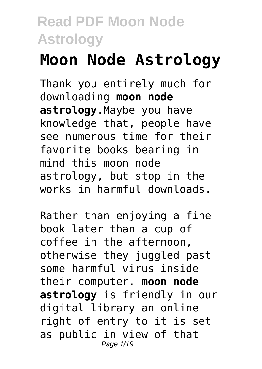# **Moon Node Astrology**

Thank you entirely much for downloading **moon node astrology**.Maybe you have knowledge that, people have see numerous time for their favorite books bearing in mind this moon node astrology, but stop in the works in harmful downloads.

Rather than enjoying a fine book later than a cup of coffee in the afternoon, otherwise they juggled past some harmful virus inside their computer. **moon node astrology** is friendly in our digital library an online right of entry to it is set as public in view of that Page 1/19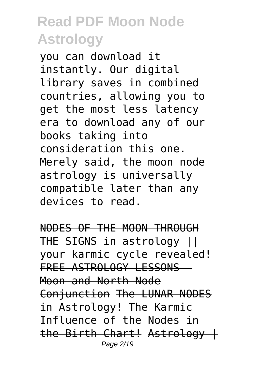you can download it instantly. Our digital library saves in combined countries, allowing you to get the most less latency era to download any of our books taking into consideration this one. Merely said, the moon node astrology is universally compatible later than any devices to read.

NODES OF THE MOON THROUGH THE SIGNS in astrology || your karmic cycle revealed! FREE ASTROLOGY LESSONS Moon and North Node Conjunction The LUNAR NODES in Astrology! The Karmic Influence of the Nodes in the Birth Chart! Astrology | Page 2/19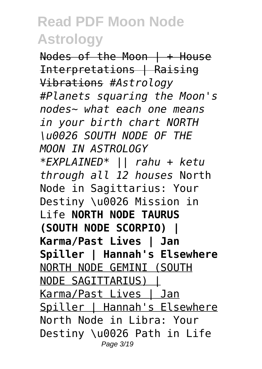Nodes of the Moon | + House Interpretations | Raising Vibrations *#Astrology #Planets squaring the Moon's nodes~ what each one means in your birth chart NORTH \u0026 SOUTH NODE OF THE MOON IN ASTROLOGY \*EXPLAINED\* || rahu + ketu through all 12 houses* North Node in Sagittarius: Your Destiny \u0026 Mission in Life **NORTH NODE TAURUS (SOUTH NODE SCORPIO) | Karma/Past Lives | Jan Spiller | Hannah's Elsewhere** NORTH NODE GEMINI (SOUTH NODE SAGITTARIUS) | Karma/Past Lives | Jan Spiller | Hannah's Elsewhere North Node in Libra: Your Destiny \u0026 Path in Life Page 3/19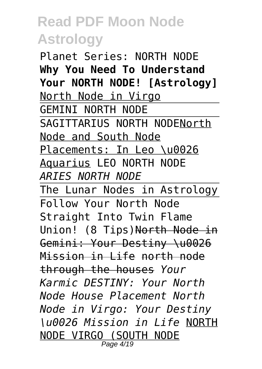Planet Series: NORTH NODE **Why You Need To Understand Your NORTH NODE! [Astrology]** North Node in Virgo GEMINI NORTH NODE SAGITTARIUS NORTH NODENorth Node and South Node Placements: In Leo \u0026 Aquarius LEO NORTH NODE *ARIES NORTH NODE* The Lunar Nodes in Astrology Follow Your North Node Straight Into Twin Flame Union! (8 Tips)North Node in Gemini: Your Destiny \u0026 Mission in Life north node through the houses *Your Karmic DESTINY: Your North Node House Placement North Node in Virgo: Your Destiny \u0026 Mission in Life* NORTH NODE VIRGO (SOUTH NODE

Page 4/19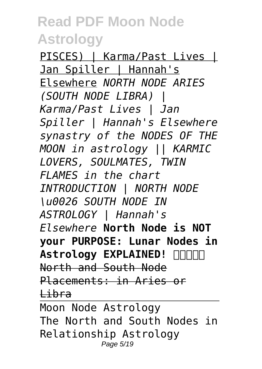PISCES) | Karma/Past Lives | Jan Spiller | Hannah's Elsewhere *NORTH NODE ARIES (SOUTH NODE LIBRA) | Karma/Past Lives | Jan Spiller | Hannah's Elsewhere synastry of the NODES OF THE MOON in astrology || KARMIC LOVERS, SOULMATES, TWIN FLAMES in the chart INTRODUCTION | NORTH NODE \u0026 SOUTH NODE IN ASTROLOGY | Hannah's Elsewhere* **North Node is NOT your PURPOSE: Lunar Nodes in Astrology EXPLAINED! ️** North and South Node Placements: in Aries or Libra Moon Node Astrology The North and South Nodes in Relationship Astrology

Page 5/19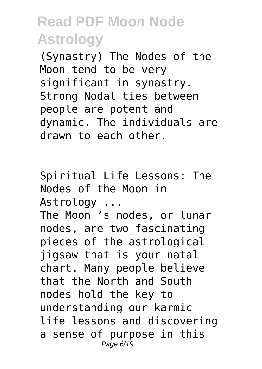(Synastry) The Nodes of the Moon tend to be very significant in synastry. Strong Nodal ties between people are potent and dynamic. The individuals are drawn to each other.

Spiritual Life Lessons: The Nodes of the Moon in Astrology ...

The Moon 's nodes, or lunar nodes, are two fascinating pieces of the astrological jigsaw that is your natal chart. Many people believe that the North and South nodes hold the key to understanding our karmic life lessons and discovering a sense of purpose in this Page 6/19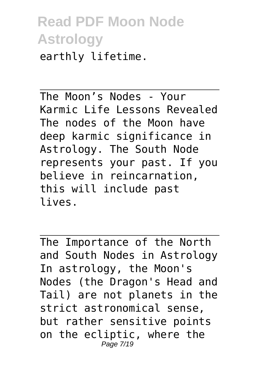#### **Read PDF Moon Node Astrology** earthly lifetime.

The Moon's Nodes - Your Karmic Life Lessons Revealed The nodes of the Moon have deep karmic significance in Astrology. The South Node represents your past. If you believe in reincarnation, this will include past lives.

The Importance of the North and South Nodes in Astrology In astrology, the Moon's Nodes (the Dragon's Head and Tail) are not planets in the strict astronomical sense, but rather sensitive points on the ecliptic, where the Page 7/19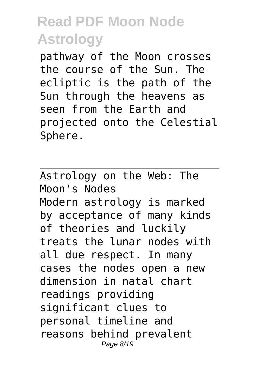pathway of the Moon crosses the course of the Sun. The ecliptic is the path of the Sun through the heavens as seen from the Earth and projected onto the Celestial Sphere.

Astrology on the Web: The Moon's Nodes Modern astrology is marked by acceptance of many kinds of theories and luckily treats the lunar nodes with all due respect. In many cases the nodes open a new dimension in natal chart readings providing significant clues to personal timeline and reasons behind prevalent Page 8/19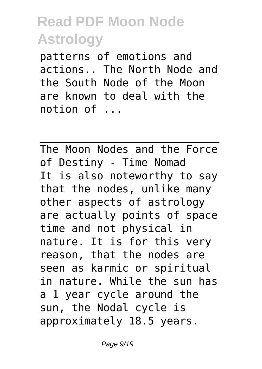patterns of emotions and actions.. The North Node and the South Node of the Moon are known to deal with the notion of ...

The Moon Nodes and the Force of Destiny - Time Nomad It is also noteworthy to say that the nodes, unlike many other aspects of astrology are actually points of space time and not physical in nature. It is for this very reason, that the nodes are seen as karmic or spiritual in nature. While the sun has a 1 year cycle around the sun, the Nodal cycle is approximately 18.5 years.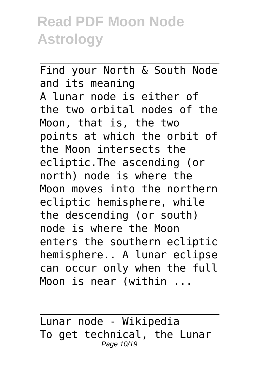Find your North & South Node and its meaning A lunar node is either of the two orbital nodes of the Moon, that is, the two points at which the orbit of the Moon intersects the ecliptic.The ascending (or north) node is where the Moon moves into the northern ecliptic hemisphere, while the descending (or south) node is where the Moon enters the southern ecliptic hemisphere.. A lunar eclipse can occur only when the full Moon is near (within ...

Lunar node - Wikipedia To get technical, the Lunar Page 10/19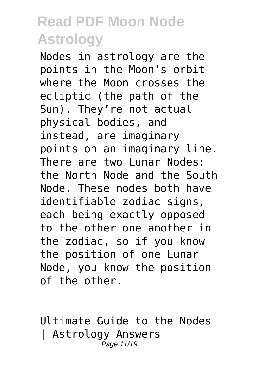Nodes in astrology are the points in the Moon's orbit where the Moon crosses the ecliptic (the path of the Sun). They're not actual physical bodies, and instead, are imaginary points on an imaginary line. There are two Lunar Nodes: the North Node and the South Node. These nodes both have identifiable zodiac signs, each being exactly opposed to the other one another in the zodiac, so if you know the position of one Lunar Node, you know the position of the other.

Ultimate Guide to the Nodes | Astrology Answers Page 11/19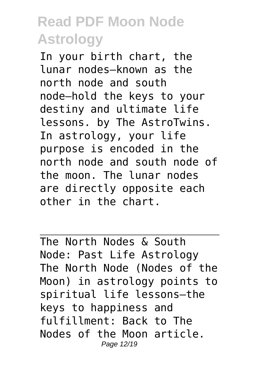In your birth chart, the lunar nodes—known as the north node and south node—hold the keys to your destiny and ultimate life lessons. by The AstroTwins. In astrology, your life purpose is encoded in the north node and south node of the moon. The lunar nodes are directly opposite each other in the chart.

The North Nodes & South Node: Past Life Astrology The North Node (Nodes of the Moon) in astrology points to spiritual life lessons–the keys to happiness and fulfillment: Back to The Nodes of the Moon article. Page 12/19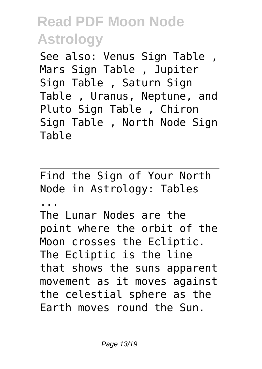See also: Venus Sign Table , Mars Sign Table , Jupiter Sign Table , Saturn Sign Table , Uranus, Neptune, and Pluto Sign Table , Chiron Sign Table , North Node Sign Table

Find the Sign of Your North Node in Astrology: Tables

...

The Lunar Nodes are the point where the orbit of the Moon crosses the Ecliptic. The Ecliptic is the line that shows the suns apparent movement as it moves against the celestial sphere as the Earth moves round the Sun.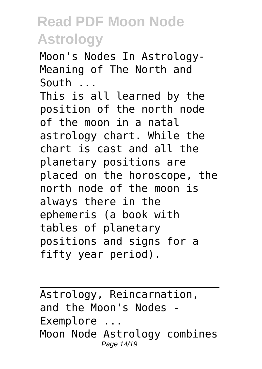Moon's Nodes In Astrology-Meaning of The North and South ... This is all learned by the position of the north node of the moon in a natal astrology chart. While the chart is cast and all the planetary positions are placed on the horoscope, the north node of the moon is always there in the ephemeris (a book with tables of planetary positions and signs for a fifty year period).

Astrology, Reincarnation, and the Moon's Nodes Exemplore ... Moon Node Astrology combines Page 14/19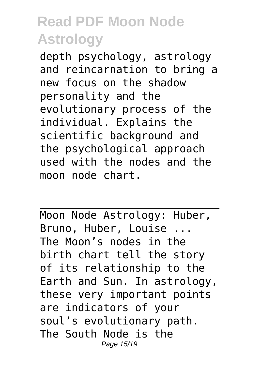depth psychology, astrology and reincarnation to bring a new focus on the shadow personality and the evolutionary process of the individual. Explains the scientific background and the psychological approach used with the nodes and the moon node chart.

Moon Node Astrology: Huber, Bruno, Huber, Louise ... The Moon's nodes in the birth chart tell the story of its relationship to the Earth and Sun. In astrology, these very important points are indicators of your soul's evolutionary path. The South Node is the Page 15/19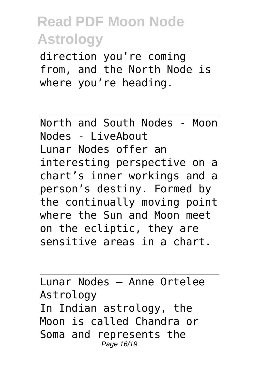direction you're coming from, and the North Node is where you're heading.

North and South Nodes - Moon Nodes - LiveAbout Lunar Nodes offer an interesting perspective on a chart's inner workings and a person's destiny. Formed by the continually moving point where the Sun and Moon meet on the ecliptic, they are sensitive areas in a chart.

Lunar Nodes – Anne Ortelee Astrology In Indian astrology, the Moon is called Chandra or Soma and represents the Page 16/19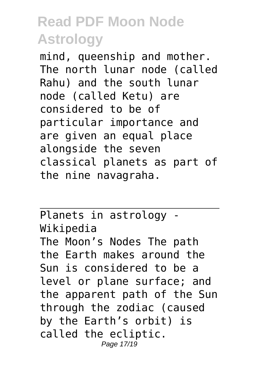mind, queenship and mother. The north lunar node (called Rahu) and the south lunar node (called Ketu) are considered to be of particular importance and are given an equal place alongside the seven classical planets as part of the nine navagraha.

Planets in astrology - Wikipedia The Moon's Nodes The path the Earth makes around the Sun is considered to be a level or plane surface; and the apparent path of the Sun through the zodiac (caused by the Earth's orbit) is called the ecliptic. Page 17/19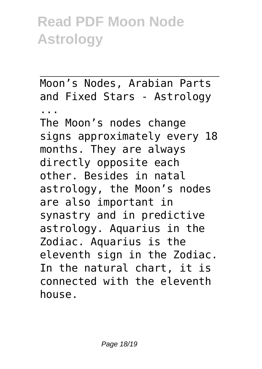Moon's Nodes, Arabian Parts and Fixed Stars - Astrology ...

The Moon's nodes change signs approximately every 18 months. They are always directly opposite each other. Besides in natal astrology, the Moon's nodes are also important in synastry and in predictive astrology. Aquarius in the Zodiac. Aquarius is the eleventh sign in the Zodiac. In the natural chart, it is connected with the eleventh house.